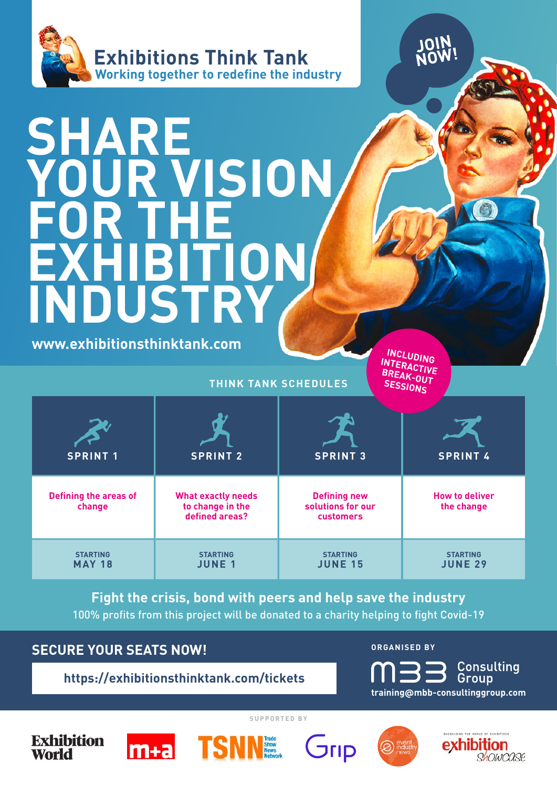

# SHARE **YOUR VISION FOR THE EXHIBITION INDUSTRY**

 $\circ$ 

| www.exhibitionsthinktank.com                                                                                                                          |                                                                 |                                                       | INCLUDING<br>INTERACTIVE                            |  |
|-------------------------------------------------------------------------------------------------------------------------------------------------------|-----------------------------------------------------------------|-------------------------------------------------------|-----------------------------------------------------|--|
|                                                                                                                                                       |                                                                 | <b>THINK TANK SCHEDULES</b>                           | BREAK-OUT                                           |  |
| <b>SPRINT 1</b>                                                                                                                                       | <b>SPRINT 2</b>                                                 | <b>SPRINT 3</b>                                       | <b>SPRINT 4</b>                                     |  |
| <b>Defining the areas of</b><br>change                                                                                                                | <b>What exactly needs</b><br>to change in the<br>defined areas? | <b>Defining new</b><br>solutions for our<br>customers | <b>How to deliver</b><br>the change                 |  |
| <b>STARTING</b><br><b>MAY 18</b>                                                                                                                      | <b>STARTING</b><br><b>JUNE 1</b>                                | <b>STARTING</b><br><b>JUNE 15</b>                     | <b>STARTING</b><br><b>JUNE 29</b>                   |  |
| Fight the crisis, bond with peers and help save the industry<br>100% profits from this project will be donated to a charity helping to fight Covid-19 |                                                                 |                                                       |                                                     |  |
| <b>SECURE YOUR SEATS NOW!</b>                                                                                                                         |                                                                 |                                                       | <b>ORGANISED BY</b>                                 |  |
|                                                                                                                                                       | https://exhibitionsthinktank.com/tickets                        |                                                       | $mg$ Consulting<br>training@mbb-consultinggroup.com |  |

#### **SECURE YOUR SEATS NOW! CONSIDER A SECURE YOUR SEATS NOW!**

exhibition

Showcase

**SUPPORTED BY**







Grip

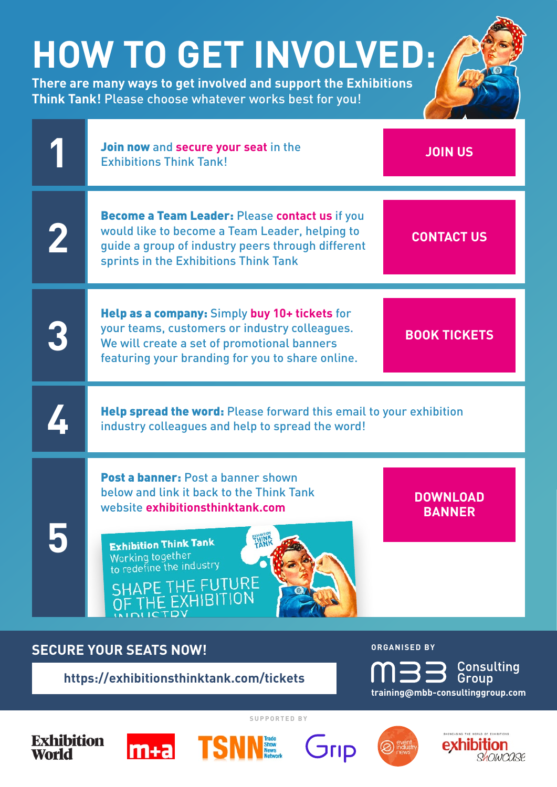## **HOW TO GET INVOLVED:**

**There are many ways to get involved and support the Exhibitions Think Tank!** Please choose whatever works best for you!





exhibition

OLOWOOOP

**SUPPORTED BY**

**Exhibition** World





 $G$ 

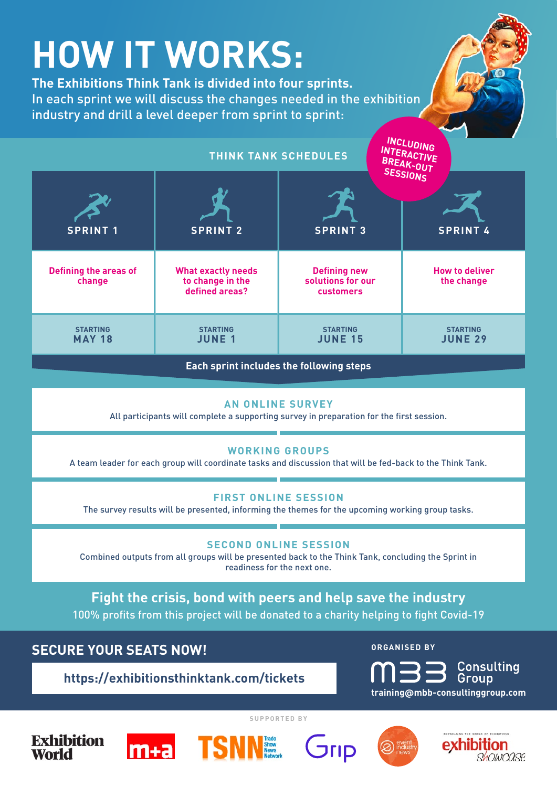| <b>HOW IT WORKS:</b><br>The Exhibitions Think Tank is divided into four sprints.<br>In each sprint we will discuss the changes needed in the exhibition<br>industry and drill a level deeper from sprint to sprint:<br>INCLUDING<br>INTERACTIVE<br><b>THINK TANK SCHEDULES</b> |                                                                 |                                                       |                                          |  |
|--------------------------------------------------------------------------------------------------------------------------------------------------------------------------------------------------------------------------------------------------------------------------------|-----------------------------------------------------------------|-------------------------------------------------------|------------------------------------------|--|
| <b>SPRINT 1</b>                                                                                                                                                                                                                                                                | <b>SPRINT 2</b>                                                 | <b>SPRINT 3</b>                                       | BREAK-OUT<br>SESSIONS<br><b>SPRINT 4</b> |  |
| <b>Defining the areas of</b><br>change                                                                                                                                                                                                                                         | <b>What exactly needs</b><br>to change in the<br>defined areas? | <b>Defining new</b><br>solutions for our<br>customers | <b>How to deliver</b><br>the change      |  |
| <b>STARTING</b><br><b>MAY 18</b>                                                                                                                                                                                                                                               | <b>STARTING</b><br><b>JUNE 1</b>                                | <b>STARTING</b><br><b>JUNE 15</b>                     | <b>STARTING</b><br><b>JUNE 29</b>        |  |
| Each sprint includes the following steps                                                                                                                                                                                                                                       |                                                                 |                                                       |                                          |  |
| <b>AN ONLINE SURVEY</b><br>All participants will complete a supporting survey in preparation for the first session.                                                                                                                                                            |                                                                 |                                                       |                                          |  |

#### **WORKING GROUPS**

A team leader for each group will coordinate tasks and discussion that will be fed-back to the Think Tank.

#### **FIRST ONLINE SESSION**

The survey results will be presented, informing the themes for the upcoming working group tasks.

#### **SECOND ONLINE SESSION**

Combined outputs from all groups will be presented back to the Think Tank, concluding the Sprint in readiness for the next one.

**Fight the crisis, bond with peers and help save the industry** 100% profits from this project will be donated to a charity helping to fight Covid-19

**SECURE YOUR SEATS NOW! CONSIDER A SECURE YOUR SEATS NOW!** 



exhibition

Showcose

**SUPPORTED BY**